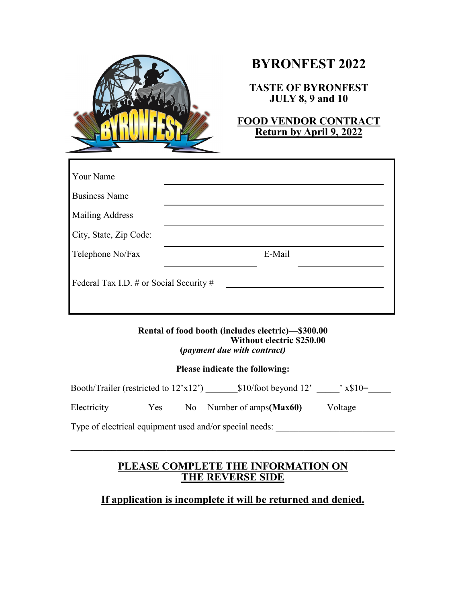

# **BYRONFEST 2022**

**TASTE OF BYRONFEST JULY 8, 9 and 10** 

**FOOD VENDOR CONTRACT Return by April 9, 2022**

| Your Name                               |        |  |
|-----------------------------------------|--------|--|
| <b>Business Name</b>                    |        |  |
| <b>Mailing Address</b>                  |        |  |
| City, State, Zip Code:                  |        |  |
| Telephone No/Fax                        | E-Mail |  |
| Federal Tax I.D. # or Social Security # |        |  |

**Rental of food booth (includes electric)—\$300.00 Without electric \$250.00 (***payment due with contract)*

#### **Please indicate the following:**

Booth/Trailer (restricted to  $12'x12'$ ) \$10/foot beyond  $12'$   $\longrightarrow$  x\$10=

Electricity \_\_\_\_\_Yes\_\_\_\_\_No Number of amps**(Max60)** \_\_\_\_\_Voltage\_\_\_\_\_\_\_\_

Type of electrical equipment used and/or special needs:

## **PLEASE COMPLETE THE INFORMATION ON THE REVERSE SIDE**

## **If application is incomplete it will be returned and denied.**